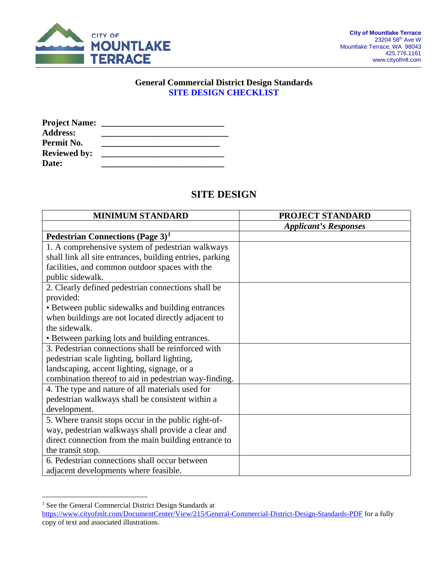

#### **General Commercial District Design Standards SITE DESIGN CHECKLIST**

| <b>Project Name:</b> |  |
|----------------------|--|
| <b>Address:</b>      |  |
| Permit No.           |  |
| <b>Reviewed by:</b>  |  |
| Date:                |  |

#### **SITE DESIGN**

| <b>MINIMUM STANDARD</b>                                  | <b>PROJECT STANDARD</b>      |
|----------------------------------------------------------|------------------------------|
|                                                          | <b>Applicant's Responses</b> |
| Pedestrian Connections (Page $3$ ) <sup>1</sup>          |                              |
| 1. A comprehensive system of pedestrian walkways         |                              |
| shall link all site entrances, building entries, parking |                              |
| facilities, and common outdoor spaces with the           |                              |
| public sidewalk.                                         |                              |
| 2. Clearly defined pedestrian connections shall be       |                              |
| provided:                                                |                              |
| • Between public sidewalks and building entrances        |                              |
| when buildings are not located directly adjacent to      |                              |
| the sidewalk.                                            |                              |
| • Between parking lots and building entrances.           |                              |
| 3. Pedestrian connections shall be reinforced with       |                              |
| pedestrian scale lighting, bollard lighting,             |                              |
| landscaping, accent lighting, signage, or a              |                              |
| combination thereof to aid in pedestrian way-finding.    |                              |
| 4. The type and nature of all materials used for         |                              |
| pedestrian walkways shall be consistent within a         |                              |
| development.                                             |                              |
| 5. Where transit stops occur in the public right-of-     |                              |
| way, pedestrian walkways shall provide a clear and       |                              |
| direct connection from the main building entrance to     |                              |
| the transit stop.                                        |                              |
| 6. Pedestrian connections shall occur between            |                              |
| adjacent developments where feasible.                    |                              |

<span id="page-0-0"></span><sup>&</sup>lt;sup>1</sup> See the General Commercial District Design Standards at <https://www.cityofmlt.com/DocumentCenter/View/215/General-Commercial-District-Design-Standards-PDF> for a fully copy of text and associated illustrations.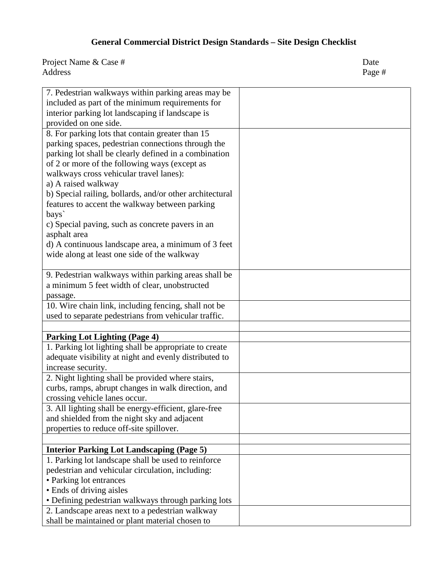| 7. Pedestrian walkways within parking areas may be       |  |
|----------------------------------------------------------|--|
|                                                          |  |
| included as part of the minimum requirements for         |  |
| interior parking lot landscaping if landscape is         |  |
| provided on one side.                                    |  |
| 8. For parking lots that contain greater than 15         |  |
| parking spaces, pedestrian connections through the       |  |
| parking lot shall be clearly defined in a combination    |  |
| of 2 or more of the following ways (except as            |  |
| walkways cross vehicular travel lanes):                  |  |
| a) A raised walkway                                      |  |
| b) Special railing, bollards, and/or other architectural |  |
| features to accent the walkway between parking           |  |
| bays                                                     |  |
| c) Special paving, such as concrete pavers in an         |  |
| asphalt area                                             |  |
| d) A continuous landscape area, a minimum of 3 feet      |  |
| wide along at least one side of the walkway              |  |
|                                                          |  |
| 9. Pedestrian walkways within parking areas shall be     |  |
| a minimum 5 feet width of clear, unobstructed            |  |
| passage.                                                 |  |
| 10. Wire chain link, including fencing, shall not be     |  |
| used to separate pedestrians from vehicular traffic.     |  |
|                                                          |  |
| <b>Parking Lot Lighting (Page 4)</b>                     |  |
| 1. Parking lot lighting shall be appropriate to create   |  |
| adequate visibility at night and evenly distributed to   |  |
| increase security.                                       |  |
| 2. Night lighting shall be provided where stairs,        |  |
| curbs, ramps, abrupt changes in walk direction, and      |  |
| crossing vehicle lanes occur.                            |  |
| 3. All lighting shall be energy-efficient, glare-free    |  |
| and shielded from the night sky and adjacent             |  |
| properties to reduce off-site spillover.                 |  |
|                                                          |  |
| <b>Interior Parking Lot Landscaping (Page 5)</b>         |  |
| 1. Parking lot landscape shall be used to reinforce      |  |
| pedestrian and vehicular circulation, including:         |  |
| • Parking lot entrances                                  |  |
| • Ends of driving aisles                                 |  |
| · Defining pedestrian walkways through parking lots      |  |
| 2. Landscape areas next to a pedestrian walkway          |  |
| shall be maintained or plant material chosen to          |  |
|                                                          |  |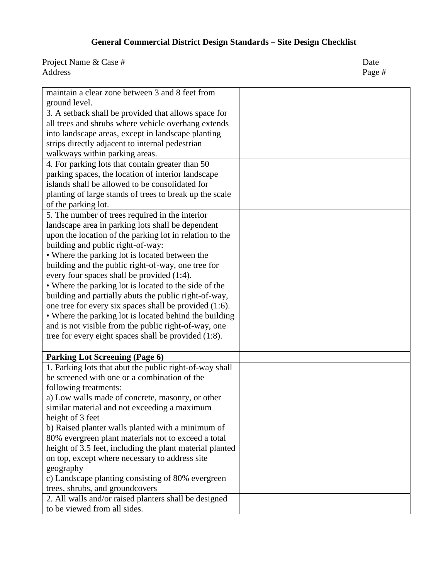| maintain a clear zone between 3 and 8 feet from          |  |
|----------------------------------------------------------|--|
| ground level.                                            |  |
| 3. A setback shall be provided that allows space for     |  |
| all trees and shrubs where vehicle overhang extends      |  |
| into landscape areas, except in landscape planting       |  |
| strips directly adjacent to internal pedestrian          |  |
| walkways within parking areas.                           |  |
| 4. For parking lots that contain greater than 50         |  |
| parking spaces, the location of interior landscape       |  |
| islands shall be allowed to be consolidated for          |  |
| planting of large stands of trees to break up the scale  |  |
| of the parking lot.                                      |  |
| 5. The number of trees required in the interior          |  |
| landscape area in parking lots shall be dependent        |  |
| upon the location of the parking lot in relation to the  |  |
| building and public right-of-way:                        |  |
| • Where the parking lot is located between the           |  |
| building and the public right-of-way, one tree for       |  |
| every four spaces shall be provided (1:4).               |  |
| • Where the parking lot is located to the side of the    |  |
| building and partially abuts the public right-of-way,    |  |
| one tree for every six spaces shall be provided (1:6).   |  |
| • Where the parking lot is located behind the building   |  |
| and is not visible from the public right-of-way, one     |  |
| tree for every eight spaces shall be provided (1:8).     |  |
|                                                          |  |
| <b>Parking Lot Screening (Page 6)</b>                    |  |
| 1. Parking lots that abut the public right-of-way shall  |  |
| be screened with one or a combination of the             |  |
| following treatments:                                    |  |
| a) Low walls made of concrete, masonry, or other         |  |
| similar material and not exceeding a maximum             |  |
| height of 3 feet                                         |  |
| b) Raised planter walls planted with a minimum of        |  |
| 80% evergreen plant materials not to exceed a total      |  |
| height of 3.5 feet, including the plant material planted |  |
| on top, except where necessary to address site           |  |
| geography                                                |  |
| c) Landscape planting consisting of 80% evergreen        |  |
| trees, shrubs, and groundcovers                          |  |
| 2. All walls and/or raised planters shall be designed    |  |
| to be viewed from all sides.                             |  |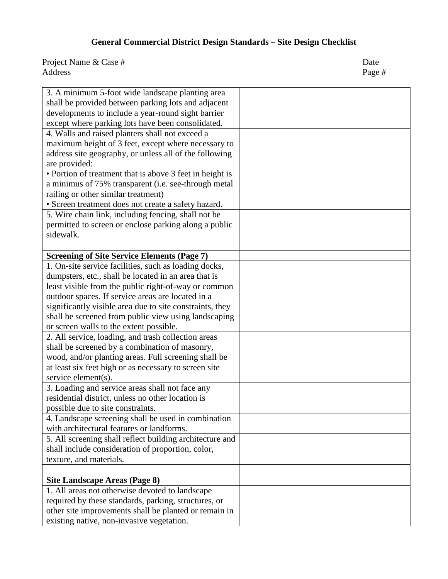| 3. A minimum 5-foot wide landscape planting area         |  |
|----------------------------------------------------------|--|
| shall be provided between parking lots and adjacent      |  |
| developments to include a year-round sight barrier       |  |
| except where parking lots have been consolidated.        |  |
| 4. Walls and raised planters shall not exceed a          |  |
| maximum height of 3 feet, except where necessary to      |  |
| address site geography, or unless all of the following   |  |
| are provided:                                            |  |
| • Portion of treatment that is above 3 feet in height is |  |
| a minimus of 75% transparent (i.e. see-through metal     |  |
| railing or other similar treatment)                      |  |
| • Screen treatment does not create a safety hazard.      |  |
| 5. Wire chain link, including fencing, shall not be      |  |
| permitted to screen or enclose parking along a public    |  |
| sidewalk.                                                |  |
|                                                          |  |
| <b>Screening of Site Service Elements (Page 7)</b>       |  |
| 1. On-site service facilities, such as loading docks,    |  |
| dumpsters, etc., shall be located in an area that is     |  |
| least visible from the public right-of-way or common     |  |
| outdoor spaces. If service areas are located in a        |  |
| significantly visible area due to site constraints, they |  |
| shall be screened from public view using landscaping     |  |
| or screen walls to the extent possible.                  |  |
| 2. All service, loading, and trash collection areas      |  |
| shall be screened by a combination of masonry,           |  |
| wood, and/or planting areas. Full screening shall be     |  |
| at least six feet high or as necessary to screen site    |  |
| service element(s).                                      |  |
| 3. Loading and service areas shall not face any          |  |
| residential district, unless no other location is        |  |
| possible due to site constraints.                        |  |
| 4. Landscape screening shall be used in combination      |  |
| with architectural features or landforms.                |  |
| 5. All screening shall reflect building architecture and |  |
| shall include consideration of proportion, color,        |  |
| texture, and materials.                                  |  |
|                                                          |  |
| Site Landscape Areas (Page 8)                            |  |
| 1. All areas not otherwise devoted to landscape          |  |
| required by these standards, parking, structures, or     |  |
| other site improvements shall be planted or remain in    |  |
| existing native, non-invasive vegetation.                |  |
|                                                          |  |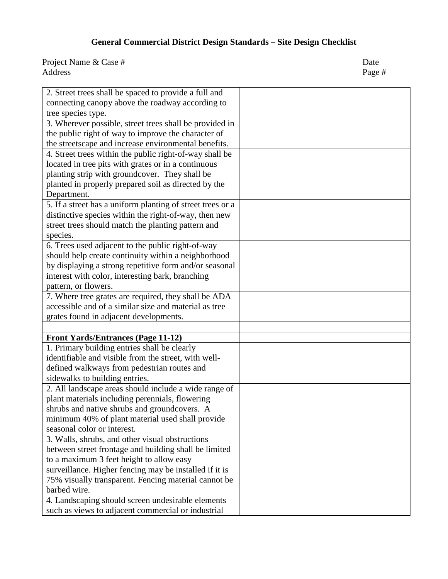| 2. Street trees shall be spaced to provide a full and      |  |
|------------------------------------------------------------|--|
| connecting canopy above the roadway according to           |  |
| tree species type.                                         |  |
| 3. Wherever possible, street trees shall be provided in    |  |
| the public right of way to improve the character of        |  |
| the streetscape and increase environmental benefits.       |  |
| 4. Street trees within the public right-of-way shall be    |  |
| located in tree pits with grates or in a continuous        |  |
| planting strip with groundcover. They shall be             |  |
| planted in properly prepared soil as directed by the       |  |
| Department.                                                |  |
| 5. If a street has a uniform planting of street trees or a |  |
| distinctive species within the right-of-way, then new      |  |
| street trees should match the planting pattern and         |  |
| species.                                                   |  |
| 6. Trees used adjacent to the public right-of-way          |  |
| should help create continuity within a neighborhood        |  |
| by displaying a strong repetitive form and/or seasonal     |  |
| interest with color, interesting bark, branching           |  |
| pattern, or flowers.                                       |  |
| 7. Where tree grates are required, they shall be ADA       |  |
| accessible and of a similar size and material as tree      |  |
| grates found in adjacent developments.                     |  |
|                                                            |  |
| <b>Front Yards/Entrances (Page 11-12)</b>                  |  |
| 1. Primary building entries shall be clearly               |  |
| identifiable and visible from the street, with well-       |  |
| defined walkways from pedestrian routes and                |  |
| sidewalks to building entries.                             |  |
| 2. All landscape areas should include a wide range of      |  |
| plant materials including perennials, flowering            |  |
| shrubs and native shrubs and groundcovers. A               |  |
| minimum 40% of plant material used shall provide           |  |
| seasonal color or interest.                                |  |
| 3. Walls, shrubs, and other visual obstructions            |  |
| between street frontage and building shall be limited      |  |
| to a maximum 3 feet height to allow easy                   |  |
| surveillance. Higher fencing may be installed if it is     |  |
| 75% visually transparent. Fencing material cannot be       |  |
| barbed wire.                                               |  |
| 4. Landscaping should screen undesirable elements          |  |
| such as views to adjacent commercial or industrial         |  |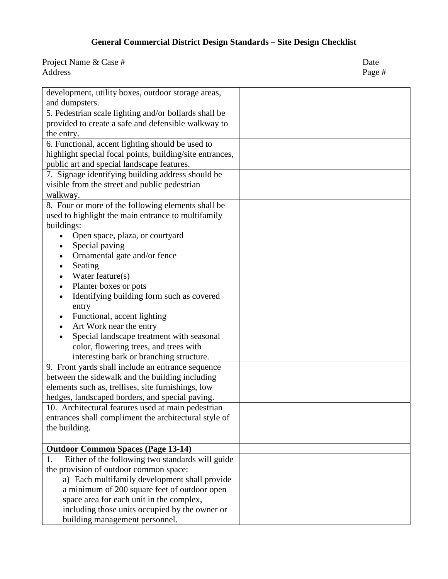| development, utility boxes, outdoor storage areas,       |  |
|----------------------------------------------------------|--|
| and dumpsters.                                           |  |
| 5. Pedestrian scale lighting and/or bollards shall be    |  |
| provided to create a safe and defensible walkway to      |  |
| the entry.                                               |  |
| 6. Functional, accent lighting should be used to         |  |
| highlight special focal points, building/site entrances, |  |
| public art and special landscape features.               |  |
| 7. Signage identifying building address should be        |  |
| visible from the street and public pedestrian            |  |
| walkway.                                                 |  |
| 8. Four or more of the following elements shall be       |  |
| used to highlight the main entrance to multifamily       |  |
| buildings:                                               |  |
| Open space, plaza, or courtyard                          |  |
| Special paving                                           |  |
| Ornamental gate and/or fence                             |  |
| Seating                                                  |  |
| Water feature(s)                                         |  |
| Planter boxes or pots                                    |  |
| Identifying building form such as covered                |  |
| entry                                                    |  |
| Functional, accent lighting                              |  |
| Art Work near the entry                                  |  |
| Special landscape treatment with seasonal                |  |
| color, flowering trees, and trees with                   |  |
| interesting bark or branching structure.                 |  |
| 9. Front yards shall include an entrance sequence        |  |
| between the sidewalk and the building including          |  |
| elements such as, trellises, site furnishings, low       |  |
| hedges, landscaped borders, and special paving.          |  |
| 10. Architectural features used at main pedestrian       |  |
| entrances shall compliment the architectural style of    |  |
| the building.                                            |  |
|                                                          |  |
| <b>Outdoor Common Spaces (Page 13-14)</b>                |  |
| Either of the following two standards will guide<br>1.   |  |
| the provision of outdoor common space:                   |  |
| a) Each multifamily development shall provide            |  |
| a minimum of 200 square feet of outdoor open             |  |
| space area for each unit in the complex,                 |  |
| including those units occupied by the owner or           |  |
| building management personnel.                           |  |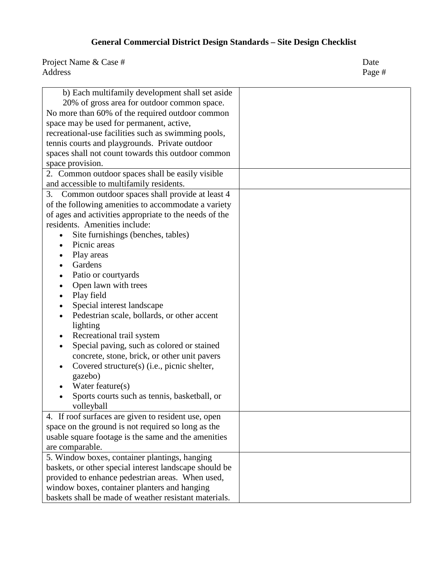| b) Each multifamily development shall set aside<br>20% of gross area for outdoor common space.<br>No more than 60% of the required outdoor common<br>space may be used for permanent, active,<br>recreational-use facilities such as swimming pools,<br>tennis courts and playgrounds. Private outdoor<br>spaces shall not count towards this outdoor common |  |
|--------------------------------------------------------------------------------------------------------------------------------------------------------------------------------------------------------------------------------------------------------------------------------------------------------------------------------------------------------------|--|
| space provision.                                                                                                                                                                                                                                                                                                                                             |  |
| 2. Common outdoor spaces shall be easily visible                                                                                                                                                                                                                                                                                                             |  |
| and accessible to multifamily residents.                                                                                                                                                                                                                                                                                                                     |  |
| Common outdoor spaces shall provide at least 4<br>3.                                                                                                                                                                                                                                                                                                         |  |
| of the following amenities to accommodate a variety                                                                                                                                                                                                                                                                                                          |  |
| of ages and activities appropriate to the needs of the                                                                                                                                                                                                                                                                                                       |  |
| residents. Amenities include:                                                                                                                                                                                                                                                                                                                                |  |
| Site furnishings (benches, tables)                                                                                                                                                                                                                                                                                                                           |  |
| Picnic areas                                                                                                                                                                                                                                                                                                                                                 |  |
| Play areas                                                                                                                                                                                                                                                                                                                                                   |  |
| Gardens                                                                                                                                                                                                                                                                                                                                                      |  |
| Patio or courtyards                                                                                                                                                                                                                                                                                                                                          |  |
| Open lawn with trees<br>$\bullet$                                                                                                                                                                                                                                                                                                                            |  |
| Play field                                                                                                                                                                                                                                                                                                                                                   |  |
| Special interest landscape                                                                                                                                                                                                                                                                                                                                   |  |
| Pedestrian scale, bollards, or other accent                                                                                                                                                                                                                                                                                                                  |  |
| lighting                                                                                                                                                                                                                                                                                                                                                     |  |
| Recreational trail system                                                                                                                                                                                                                                                                                                                                    |  |
| Special paving, such as colored or stained                                                                                                                                                                                                                                                                                                                   |  |
| concrete, stone, brick, or other unit pavers                                                                                                                                                                                                                                                                                                                 |  |
| Covered structure(s) (i.e., picnic shelter,                                                                                                                                                                                                                                                                                                                  |  |
| gazebo)                                                                                                                                                                                                                                                                                                                                                      |  |
| Water feature(s)                                                                                                                                                                                                                                                                                                                                             |  |
| Sports courts such as tennis, basketball, or                                                                                                                                                                                                                                                                                                                 |  |
| volleyball                                                                                                                                                                                                                                                                                                                                                   |  |
| 4. If roof surfaces are given to resident use, open                                                                                                                                                                                                                                                                                                          |  |
| space on the ground is not required so long as the                                                                                                                                                                                                                                                                                                           |  |
| usable square footage is the same and the amenities                                                                                                                                                                                                                                                                                                          |  |
| are comparable.                                                                                                                                                                                                                                                                                                                                              |  |
| 5. Window boxes, container plantings, hanging                                                                                                                                                                                                                                                                                                                |  |
| baskets, or other special interest landscape should be                                                                                                                                                                                                                                                                                                       |  |
| provided to enhance pedestrian areas. When used,                                                                                                                                                                                                                                                                                                             |  |
| window boxes, container planters and hanging                                                                                                                                                                                                                                                                                                                 |  |
| baskets shall be made of weather resistant materials.                                                                                                                                                                                                                                                                                                        |  |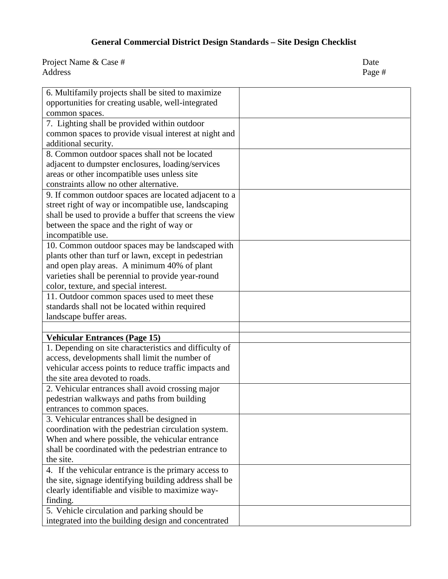| 6. Multifamily projects shall be sited to maximize      |  |
|---------------------------------------------------------|--|
| opportunities for creating usable, well-integrated      |  |
| common spaces.                                          |  |
| 7. Lighting shall be provided within outdoor            |  |
| common spaces to provide visual interest at night and   |  |
| additional security.                                    |  |
| 8. Common outdoor spaces shall not be located           |  |
| adjacent to dumpster enclosures, loading/services       |  |
| areas or other incompatible uses unless site            |  |
| constraints allow no other alternative.                 |  |
| 9. If common outdoor spaces are located adjacent to a   |  |
| street right of way or incompatible use, landscaping    |  |
| shall be used to provide a buffer that screens the view |  |
| between the space and the right of way or               |  |
| incompatible use.                                       |  |
| 10. Common outdoor spaces may be landscaped with        |  |
| plants other than turf or lawn, except in pedestrian    |  |
| and open play areas. A minimum 40% of plant             |  |
| varieties shall be perennial to provide year-round      |  |
| color, texture, and special interest.                   |  |
| 11. Outdoor common spaces used to meet these            |  |
| standards shall not be located within required          |  |
| landscape buffer areas.                                 |  |
|                                                         |  |
| <b>Vehicular Entrances (Page 15)</b>                    |  |
| 1. Depending on site characteristics and difficulty of  |  |
| access, developments shall limit the number of          |  |
| vehicular access points to reduce traffic impacts and   |  |
| the site area devoted to roads.                         |  |
| 2. Vehicular entrances shall avoid crossing major       |  |
| pedestrian walkways and paths from building             |  |
| entrances to common spaces.                             |  |
| 3. Vehicular entrances shall be designed in             |  |
| coordination with the pedestrian circulation system.    |  |
| When and where possible, the vehicular entrance         |  |
|                                                         |  |
| shall be coordinated with the pedestrian entrance to    |  |
| the site.                                               |  |
| 4. If the vehicular entrance is the primary access to   |  |
| the site, signage identifying building address shall be |  |
| clearly identifiable and visible to maximize way-       |  |
| finding.                                                |  |
| 5. Vehicle circulation and parking should be            |  |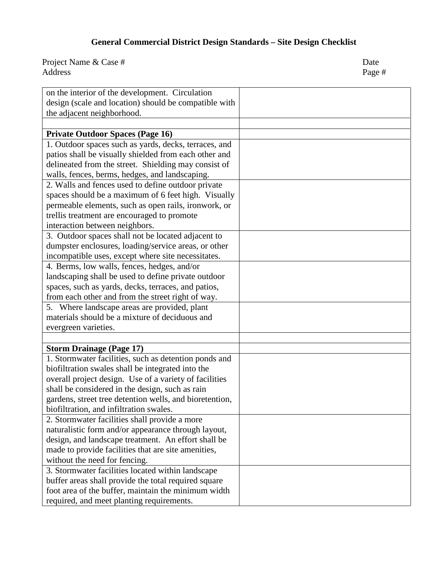| on the interior of the development. Circulation         |  |
|---------------------------------------------------------|--|
| design (scale and location) should be compatible with   |  |
| the adjacent neighborhood.                              |  |
|                                                         |  |
| <b>Private Outdoor Spaces (Page 16)</b>                 |  |
| 1. Outdoor spaces such as yards, decks, terraces, and   |  |
| patios shall be visually shielded from each other and   |  |
|                                                         |  |
| delineated from the street. Shielding may consist of    |  |
| walls, fences, berms, hedges, and landscaping.          |  |
| 2. Walls and fences used to define outdoor private      |  |
| spaces should be a maximum of 6 feet high. Visually     |  |
| permeable elements, such as open rails, ironwork, or    |  |
| trellis treatment are encouraged to promote             |  |
| interaction between neighbors.                          |  |
| 3. Outdoor spaces shall not be located adjacent to      |  |
| dumpster enclosures, loading/service areas, or other    |  |
| incompatible uses, except where site necessitates.      |  |
| 4. Berms, low walls, fences, hedges, and/or             |  |
| landscaping shall be used to define private outdoor     |  |
| spaces, such as yards, decks, terraces, and patios,     |  |
| from each other and from the street right of way.       |  |
| 5. Where landscape areas are provided, plant            |  |
| materials should be a mixture of deciduous and          |  |
| evergreen varieties.                                    |  |
|                                                         |  |
| <b>Storm Drainage (Page 17)</b>                         |  |
| 1. Stormwater facilities, such as detention ponds and   |  |
| biofiltration swales shall be integrated into the       |  |
| overall project design. Use of a variety of facilities  |  |
| shall be considered in the design, such as rain         |  |
| gardens, street tree detention wells, and bioretention, |  |
| biofiltration, and infiltration swales.                 |  |
| 2. Stormwater facilities shall provide a more           |  |
| naturalistic form and/or appearance through layout,     |  |
| design, and landscape treatment. An effort shall be     |  |
| made to provide facilities that are site amenities,     |  |
| without the need for fencing.                           |  |
| 3. Stormwater facilities located within landscape       |  |
| buffer areas shall provide the total required square    |  |
| foot area of the buffer, maintain the minimum width     |  |
| required, and meet planting requirements.               |  |